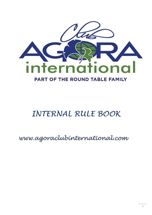

# *INTERNAL RULE BOOK*

## *www.agoraclubinternational.com*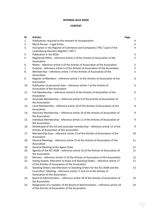## **INTERNAL RULE BOOK**

### **CONTENT**

| $N^{\circ}$ | <b>Articles</b>                                                                                                                                                                      | Page           |
|-------------|--------------------------------------------------------------------------------------------------------------------------------------------------------------------------------------|----------------|
| 1.          | Publications required at the moment of incorporation                                                                                                                                 | 4              |
| 2.          | Moral Person - Legal Entity                                                                                                                                                          | 4              |
| 3.          | Inscription in the Register of Commerce and Companies ("RCL") part of the<br>Luxembourg Business Register ("LBS")                                                                    | 4              |
| 4.          | Publication in the RESA                                                                                                                                                              | 5              |
| 5.          | Registered Office - reference article 2 of the Articles of Association of the<br>Association                                                                                         | 5              |
| 6.          | Motto - reference article 4 of the Articles of Association of the Association                                                                                                        | 5              |
| 7.          | Purpose - reference article 5 of the Articles of Association of the Association                                                                                                      | 5              |
| 8.          | Membership - reference article 7 of the Articles of Association of the<br>Association                                                                                                | 5              |
| 9.          | Register of Members - reference article 7 of the Articles of Association of the<br>Association                                                                                       | 6              |
| 10.         | Publication of personnel data - reference article 7 of the Articles of<br>Association of the Association                                                                             | 6              |
| 11.         | Full Membership - reference article 8 of the Articles of Association of the<br>Association                                                                                           | 6              |
| 12.         | Associate Membership - reference article 9 of the Articles of Association of<br>the Association                                                                                      | $\overline{7}$ |
| 13.         | Local Membership - reference article 10 of the Articles of Association of the<br>Association                                                                                         | 8              |
| 14.         | Honorary Membership - reference article 10 of the Articles of Association of<br>the Association                                                                                      | 9              |
| 15.         | Individual Membership - reference article 11 of the Articles of Association of<br>the Association                                                                                    | 9              |
| 16.         | Withdrawal of the full and associate membership - reference article 12 of the<br>Articles of Association of the Association                                                          | 9              |
| 17.         | Membership Dues - reference article 13 of the Articles of Association of the<br>Association                                                                                          | 10             |
| 18.         | General Meetings - reference article 15 of the Articles of Association of the<br>Association                                                                                         | 11             |
| 19.         | General Meeting of the Agora Clubs                                                                                                                                                   | 11             |
| 20.         | Agenda of the ACI AGM - reference article 16 of the Articles of Association of<br>the Association                                                                                    | 11             |
| 21.         | Minutes - reference article 17 of the Articles of Association of the Association                                                                                                     | 12             |
| 22.         | Voting System, Alteration to Rules and Standing Orders - reference article 17<br>of the Articles of Association of the Association                                                   | 12             |
| 23.         | Standing Orders and Alteration to Standing Orders for the ACI AGM and the<br>Councillors' Meeting - reference article 17 and 23 of the Articles of<br>Association of the Association | 13             |
| 24.         | Board of Administrators - reference article 18 of the Articles of Association of<br>the Association                                                                                  | 14             |
| 25.         | Resignation of a member of the Board of Administrators - reference article 18<br>of the Articles of Association of the Association                                                   | 14             |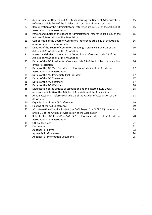| 26. | Appointment of Officers and Assistants assisting the Board of Administrators -<br>reference article 20.5 of the Articles of Association of the Association | 15 |
|-----|------------------------------------------------------------------------------------------------------------------------------------------------------------|----|
| 27. | Remuneration of the Administrators - reference article 18.5 of the Articles of<br>Association of the Association                                           | 15 |
| 28. | Powers and duties of the Board of Administrators - reference article 20 of the<br>Articles of Association of the Association                               | 15 |
| 29. | Composition of the Board of Councillors - reference article 22 of the Articles<br>of Association of the Association                                        | 16 |
| 30. | Minutes of the Board of Councillors' meeting - reference article 23 of the<br>Articles of Association of the Association                                   | 16 |
| 31. | Powers and duties of the Board of Councillors - reference article 24 of the<br>Articles of Association of the Association                                  | 16 |
| 32. | Duties of the ACI President- reference article 25 of the Articles of Association<br>of the Association                                                     | 16 |
| 33. | Duties of the ACI Vice President - reference article 25 of the Articles of<br>Association of the Association                                               | 17 |
| 34. | Duties of the ACI Immediate Past President                                                                                                                 | 17 |
| 35. | Duties of the ACI Treasurer                                                                                                                                | 17 |
| 36. | Duties of the ACI Secretary                                                                                                                                | 17 |
| 37. | Duties of the ACI Web-Lady                                                                                                                                 | 18 |
| 38. | Modification of the articles of association and the Internal Rule Books -<br>reference article 26 of the Articles of Association of the Association        | 18 |
| 39. | Annual Accounts - reference article 28 of the Articles of Association of the<br>Association                                                                | 18 |
| 40. | Organisation of the ACI Conference                                                                                                                         | 19 |
| 41. | Hosting of the ACI Conference                                                                                                                              | 19 |
| 42. | ACI International Service Project (the "ACI Project" or "ACI ISP") - reference<br>article 31 of the Articles of Association of the Association             | 19 |
| 43. | Rules for the "ACI Project" or "ACI ISP" - reference article 31 of the Articles of<br>Association of the Association                                       | 20 |
| 44. | Official language                                                                                                                                          | 21 |
| 45. | Documents                                                                                                                                                  | 22 |
|     | Appendix 1 : Forms                                                                                                                                         | 23 |
|     | Appendix 2 : Guidelines                                                                                                                                    | 24 |
|     | <b>Appendix 3: Information Documents</b>                                                                                                                   | 25 |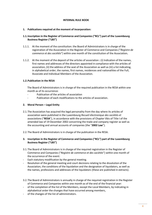#### **INTERNAL RULE BOOK**

#### **1. Publications required at the moment of incorporation:**

## **1.1.Inscription in the Register of Commerce and Companies ("RCL") part of the Luxembourg Business Register ("LBS")**

- 1.1.1. At the moment of the constitution: the Board of Administrators is in charge of the registration of the Association in the Register of Commerce and Companies ("*Registre de commerce et des sociétés*") within one month of the constitution of the Association**.**
- 1.1.2. At the moment of the deposit of the articles of association **:** (i) Indication of the names, first names and addresses of the directors appointed in compliance with the articles of association, (ii) the address of the seat of the Association as well as (iii) a list indicating, in alphabetical order, the names, first names, residences and nationalities of the Full, Associate and Individual Members of the Association.

### **1.2.Publication in the RESA**

The Board of Administrators is in charge of the required publication in the RESA within one month as of its occurrence:

- Publication of the articles of association
- Publication of each modifications to the articles of association.

### **2. Moral Person – Legal Entity**

- 2.1.The Association has acquired the legal personality from the day where its articles of association were published in the Luxembourg *Recueil électronique des sociétés et associations* ("**RESA**"), in accordance with the provisions of Chapter Vbis of Title I of the amended law of 19 December 2002 concerning the trade and company register as well as the accounting and annual accounts of companies (the "**2002 Law**").
- 2.2.The Board of Administrators is in charge of the publication in the RESA.
- **3. Inscription in the Register of Commerce and Companies ("RCL") part of the Luxembourg Business Register ("LBS")**
- 3.1.The Board of Administrators is in charge of the required registration in the Register of Commerce and Companies ("*Registre de commerce et des sociétés*") within one month of the occurrence of the event:
- Each statutory modification by the general meeting.
- Resolution of the general meeting and court decisions relating to the dissolution of the Association, the conditions of the liquidation and the designation of liquidators, as well as the names, professions and addresses of the liquidators (these are published in extracts).
- 3.2.The Board of Administrators is annually in charge of the required registration in the Register of Commerce and Companies within one month as of the end of the financial year:
- of the completion of the list of the Members, except the Local Members, by indicating in alphabetical order the changes that have occurred among members,
- of the changes of the list of administrators.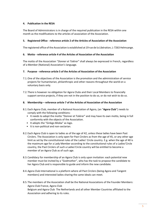## **4. Publication in the RESA**

The Board of Administrators is in charge of the required publication in the RESA within one month as the modifications to the articles of association of the Association.

### **5. Registered Office** - **reference article 2 of the Articles of Association of the Association**

The registered office of the Association is established at 19 rue de la Libération, L-7263 Helmsange.

### **6. Motto - reference article 4 of the Articles of Association of the Association**

The motto of the Association "*Donner et Tolérer*" shall always be expressed in French, regardless of a Member (National) Association's language.

#### **7. Purpose - reference article 5 of the Articles of Association of the Association**

- 7.1.One of the objectives of the Association is the promotion and the administration of service projects for humanitarian, philanthropic and other reasons throughout the world on a voluntary basis only.
- 7.2.There is however no obligation for Agora Clubs and their Local Members to financially support service projects, if they are not in the position to do so, or do not wish to do so.

### **8. Membership – reference article 7 of the Articles of Association of the Association**

- 8.1.Each Agora Club, member of a National Association of Agora, (an "**Agora Club**") needs to comply with the following conditions:
	- It needs to adopt the motto "Donner et Tolérer" and may have its own motto, being in full conformity with the objects of the Association.
	- It adopts the "Ginkgo Biloba" as logo.
	- It is non-political and non-sectarian.
- 8.2.Each Agora Club is open to ladies as of the age of 42, unless these ladies have been Past Circlers. The Association is only open for Past Circlers as from the age of 45, or any other age limit as set by the constitutional rules of the Ladies' Circle country. E.g. when the age of 40 is the maximum age for a Lady Member according to the constitutional rules of a Ladies'Circle country, the Past Circlers of such a Ladies'Circle country will be entitled to become a member of an Agora Club as of such age.
- 8.3.Candidacy for membership of an Agora Club is only upon invitation: each potential new member must be invited by a "Godmother", who has the task to propose the candidate to her Agora Club and is responsible to guide and inform the new candidate.
- 8.4.Agora Club International is a platform where all Past Circlers (being Agora and Tangent members) and interested ladies sharing the same ideals can meet.
- 8.5.The members of the Association shall be the National Associations of the Founder Members: Agora Club France, Agora Club Belgium and Agora Club The Netherlands and all other Member Countries affiliated to the Association and adhering to its rules.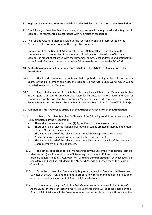## **9. Register of Members - reference article 7 of the Articles of Association of the Association**

- 9.1.The Full and/or Associate Members having a legal entity will be registered in the Register of Members, as represented in accordance with its articles of association.
- 9.2.The Full and Associate Members without legal personality shall be represented by the President of the National Board of the respective country.
- 9.3.Upon request of the Board of Administrators, each National Board is in charge of the communication of the full list of the members of their National Board and of its Local Members in alphabetical order, with the surnames, names, legal addresses and nationalities, to the Board of Administrators on or before 30 June each year prior to the ACI AGM.

### **10. Publication of personnel data - reference article 7 of the Articles of Association of the Association**

- 10.1. The Board of Administrators is entitled to publish the digital data of the National Boards of the Full Member and Associate Members in the Agora Club World, which will be provided to every Local Member.
- 10.2. Any Full Member and Associate Member may have all their Local Members published in the Agora Club World, provided each Member respects its national laws and rules on general data protection. The Non-European Members they need to respect the European General Date Protection Rules (General Data Protection Regulation (EU) 2016/679 (GDPR)).

#### **11. Full Membership – reference article 8 of the Articles of Association of the Association**

- 11.1. When an Associate Member fulfils each of the following conditions, it may apply for Full Membership of the Association:
	- a. There shall be a minimum of two (2) Agora Clubs in the relevant country.
	- b. There shall be an elected National Board, which can be created if there is a minimum of two (2) clubs in the country.
	- c. The National Board of the relevant country shall have approved the National Association's Articles of Association and the Internal Rule Books.
	- d. The National Board of the relevant country shall communicate a list of the National Board members and their addresses.
	- 11.2 The official application for Full Membership (by the use of the "Application Form Full Membership") shall be sent to the ACI Secretary on or before 30 June, prior to the ordinary general meeting ("**ACI AGM**" or "**Ordinary General Meeting**") at which it will be considered and shall be included in the ACI AGM Agenda and voted for by the Board of Councillors.
	- 11.3 From the moment Full Membership is granted, a new Full Member shall have two (2) votes at the ACI AGM and the right to propose new rules or amend existing rules and/ or propose candidates for the ACI Board of Administrators.
	- 11.4 If the number of Agora Clubs in a Full Member country remains limited to two (2) Agora Clubs for three consecutive years, its Full membership will be reconsidered by the Board of Administrators. If the Board of Administrators decides upon a withdrawal of the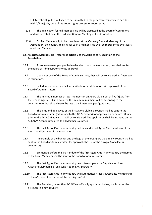Full Membership, this will need to be submitted to the general meeting which decides with 2/3 majority vote of the voting rights present or represented.

- 11.5 The application for Full Membership will be discussed at the Board of Councillors and will be voted on at the Ordinary General Meeting of the Association.
- 11.6 For Full Membership to be considered at the Ordinary General Meeting of the Association, the country applying for such a membership shall be represented by at least one Local Member.

#### **12. Associate Membership – reference article 9 of the Articles of Association of the Association**

- 12.1 As soon as a new group of ladies decides to join the Association, they shall contact the Board of Administrators for its approval.
- 12.2 Upon approval of the Board of Administrators, they will be considered as "members in formation".
- 12.3 Full Member countries shall act as Godmother club, upon prior approval of the Board of Administrators.
- 12.4 The minimum number of local members in an Agora Club is set at five (5). As from the second Agora Club in a country, the minimum numbers will be according to the country's rules but should never be less than 5 members per Agora Club.
- 12.5 The aims and objectives of the first Agora Club in a country shall be sent to the Board of Administrators (addressed to the ACI Secretary) for approval on or before 30 June, prior to the ACI AGM at which it will be considered. The application shall be included on the ACI AGM Agenda circulated to all Member Countries.
- 12.6 The first Agora Club in any country and any additional Agora Clubs shall accept the Aims and Objectives of the Association.
- 12.7 An example of the banner and the logo of the first Agora Club in any country shall be sent to the Board of Administrators for approval; the use of the Ginkgo Biloba leaf is compulsory.
- 12.8 Six months before the charter date of the first Agora Club in any country the names of the Local Members shall be sent to the Board of Administrators.
- 12.9 The first Agora Club in any country needs to complete the "Application form Associate Membership" and send it to the ACI Secretary.
- 12.10 The first Agora Club in any country will automatically receive Associate Membership of the ACI, upon the charter of the first Agora Club.
- 12.11 The President, or another ACI Officer officially appointed by her, shall charter the first Club in a new country.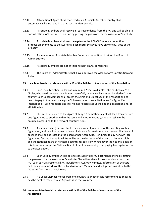- 12.12 All additional Agora Clubs chartered in an Associate Member country shall automatically be included in that Associate Membership.
- 12.13 Associate Members shall receive all correspondence from the ACI and will be able to consult official ACI documents on-line by getting the password for the Association's website.
- 12.14 Associate Members shall send delegates to the ACI AGM who are not entitled to propose amendments to the ACI Rules. Such representatives have only one (1) vote at the ACI AGM.
- 12.15 A member of an Associate Member Country is not entitled to sit on the Board of Administrators.
- 12.16 Associate Members are not entitled to host an ACI conference.
- 12.17 The Board of Administrators shall have approved the Association's Constitution and Rules.

#### **13. Local Membership – reference article 10 of the Articles of Association of the Association**

- 13.1 Each Local Member is a lady of minimum 42 years old, unless she has been a Past Circler, who needs to have the minimum age of 45, or any age limit as set by a ladies'circle country. Each Local Member shall accept the Aims and Objectives of the Association and needs to pay to their national Agora Club Association the capitation fee for Agora Club International. Each Associate and Full Member decide about the national capitation and/or affiliation fee.
- 13.2 She must be invited to the Agora Club by a Godmother, might ask for a transfer from one Agora Club to another within the same and another country, she can resign or be excluded, according to the relevant country's rules.
- 13.3 A member who (for acceptable reasons) cannot join the monthly meetings of her Agora Club, is allowed to request a leave of absence for maximum one (1) year. This leave of absence shall be addressed to the board of her Agora Club. Her duties to pay her own local Agora Club fee and her national fee will be at the discretion of the board of her own club and the National Board of her home country respectively. Whatsoever the national decision, this does not exempt the National Board of her home country from paying her capitation fee to the Association.
- 13.4 Each Local Member will be able to consult official ACI documents online by getting the password for the Association's website. She will receive all correspondence from the ACI, such as ACI Directory, all ACI Newsletters, ACI AGM minutes, information of charters and the national AGM's of the Full and Associate Members and will get an invitation to the ACI AGM from her National Board.
- 13.5 If a Local Member moves from one country to another, it is recommended that she has the right to transfer to an Agora Club in that country.
- **14. Honorary Membership – reference article 10 of the Articles of Association of the Association**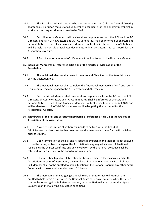- 14.1 The Board of Administrators, who can propose to the Ordinary General Meeting spontaneously or upon request of a Full Member a candidate for the honorary membership; a prior written request does not need to be filed.
- 14.2 Each Honorary Member shall receive all correspondence from the ACI, such as ACI Directory and all ACI Newsletters and ACI AGM minutes, shall be informed of charters and national AGM's of the Full and Associate Members, will get an invitation to the ACI AGM and will be able to consult official ACI documents online by getting the password for the Association's website.
- 14.3 A Certificate for honoured ACI Membership will be issued to the Honorary Member.

## **15. Individual Membership - reference article 11 of the Articles of Association of the Association**

- 15.1 The Individual Member shall accept the Aims and Objectives of the Association and pay the Capitation fee.
- 15.2 The Individual Member shall complete the "individual membership form" and return it duly completed and signed to the ACI secretary and ACI treasurer.
- 15.3 Each Individual Member shall receive all correspondence from the ACI, such as ACI Directory, all ACI Newsletters and ACI AGM minutes, shall be informed of charters and national AGM's of the Full and Associate Members, will get an invitation to the ACI AGM and will be able to consult official ACI documents online by getting the password for the Association's website.

## **16. Withdrawal of the full and associate membership - reference article 12 of the Articles of Association of the Association**

- 16.1 A written notification of withdrawal needs to be filed with the Board of Administrators, unless the Member does not pay the membership dues for the financial year prior to 30 June.
- 16.2 Upon termination of the Full and Associate membership, the Member is not allowed to use the name, emblem or logo of the Association in any way whatsoever. All national regalia plus the charter certificate and any jewel worn by the national executive shall be returned for safe keeping to the Board of Administrators.
- 16.3 If the membership of a Full Member has been terminated for reasons stated in the Association's Articles of Association, the members of the outgoing National Board of that Full Member shall not be entitled to hold a function in the National Board in any other Agora Country, with the exception under point 16.4 below.
- 16.4 The members of the outgoing National Board of that former Full Member are entitled to hold again a function in the National Board of her own country, when the latter country becomes again a Full Member Country or in the National Board of another Agora Country upon the following cumulative conditions: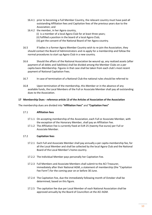- 16.4.1 prior to becoming a Full Member Country, the relevant country must have paid all outstanding Affiliation fees and Capitation fees of the previous years due to the Association; and
- 16.4.2 the member, in her Agora country, (i) is a member of a local Agora Club for at least three years; (ii) fulfilled a position in the board of a local Agora Club; (iii) got the consent of the National Board of her Agora country.
- 16.5 If ladies in a former Agora Member Country wish to re-join the Association, they should contact the Board of Administrators and re-apply for a membership and follow the normal procedures to start up Agora Club in a new country.
- 16.6 Should the affairs of the National Association be wound up, any realized assets (after payment of all debts and liabilities) shall be divided among the Member Clubs on a per capita basis-Membership. Figures in that case shall be taken from each club's most recent payment of National Capitation Fees.
- 16.7 In case of termination of a National Club the national rules should be referred to
- 16.8 Upon termination of the membership, this Member or in the absence of any available funds, the Local Members of the Full or Associate Member shall pay all outstanding dues to the Association.

## **17 Membership Dues - reference article 13 of the Articles of Association of the Association**

The membership dues are divided into **"Affiliation Fees"** and **"Capitation Fees"**

## 17.1 **Affiliation fees**

- 17.1.1 On accepting membership of the Association, each Full or Associate Member, with the exception of the Honorary Member, shall pay an Affiliation Fee.
- 17.1.2 The Affiliation Fee is currently fixed at EUR 25 (twenty-five euros) per Full or Associate Member.

## 17.2 **Capitation fees**

- 17.2.1 Each Full and Associate Member shall pay annually a per capita membership fee, for all the Local Member and shall be collected by the local Agora Club and the National Board of the Local Member's home country.
- 17.2.2 The Individual Member pays personally her Capitation Fee.
- 17.2.3 Full Members and Associate Members shall submit to the ACI Treasurer, immediately after their National AGM, a statement of membership (the "Capitation Fee Form") for the coming year on or before 30 June.
- 17.2.4 The Capitation Fee, due the immediately following month of October shall be determined, based on this figure.
- 17.2.5 The capitation fee due per Local Member of each National Association shall be approved annually by the Board of Councillors at the ACI AGM.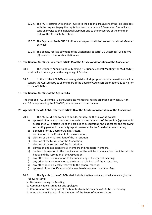- 17.2.6 The ACI Treasurer will send an invoice to the national treasurers of the Full Members with the request to pay the capitation fees on or before 1 December. She will also send an invoice to the Individual Members and to the treasurers of the member clubs of the Associate Members.
- 17.2.7 The Capitation fee is EUR 15 (fifteen euro) per Local Member and Individual Member per year
- 17.2.8 The penalty for late payment of the Capitation Fee (after 31 December) will be five (5) percent of the total capitation fee.

### **18 The General Meetings - reference article 15 of the Articles of Association of the Association**

- 18.1 The Ordinary Annual General Meeting ("**Ordinary General Meeting"** or "**ACI AGM**") shall be held once a year in the beginning of October.
- 18.2 Notice of the ACI AGM containing details of all proposals and nominations shall be sent by the ACI Secretary to all members of the Board of Councilors on or before 31 July prior to the ACI AGM.

### **19 The General Meeting of the Agora Clubs**

The (National) AGM's of the Full and Associate Members shall be organized between 30 April and 30 June preceding the ACI AGM, unless special circumstances.

#### **20 Agenda of the ACI AGM - reference article 16 of the Articles of Association of the Association**

- 20.1 The ACI AGM is convened to decide, notably, on the following points:
	- a) approval of annual accounts on the basis of the comments of the auditor (appointed in accordance with article 30 of the articles of association), the budget for the following accounting year and the activity report presented by the Board of Administrators,
	- b) discharge for the Board of Administrators,
	- c) nomination of the President of the Association,
	- d) election of the Vice-President of the Association,
	- e) election of the treasurer of the Association,
	- f) election of the secretary of the Association,
	- g) admission and exclusion of Full Members and Associate Members,
	- h) decisions in relation to the modification of the articles of association, the internal rule books and the resolution of the Association,
	- i) any other decision in relation to the functioning of the general meeting,
	- j) any other decision in relation to the internal rule books of the Association,
	- k) any other decision legally reserved to the general meeting,
	- l) approval of the modification of the membership- or/and capitation fees.
- 20.2 The Agenda of the ACI AGM shall include the items as mentioned above and/or the following items:
	- a. Notice convening the Meeting.
	- b. Communications, greetings and apologies.
	- c. Confirmation and adoption of the Minutes from the previous ACI AGM, if necessary.
	- d. Annual Activity Reports of the members of the Board of Administrators.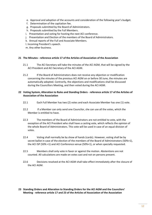- e. Approval and adoption of the accounts and consideration of the following year's budget.
- f. Determination of the capitation fee.
- g. Proposals submitted by the Board of Administrators.
- h. Proposals submitted by the Full Members.
- i. Presentation and voting for hosting the next ACI conference.
- j. Presentation and Election of the members of the Board of Administrators.
- k. Annual reports of the Full and Associate Members.
- l. Incoming President's speech.
- m. Any other business.

#### **21 The Minutes - reference article 17 of the Articles of Association of the Association**

- 21.1 The ACI Secretary will take the minutes of the ACI AGM, that will be signed by the ACI President and ACI Secretary of the ACI AGM.
- 21.2 If the Board of Administrators does not receive any objection or modification concerning the minutes of the previous ACI AGM on or before 30 June, the minutes are automatically adopted. Contrarily, the objections and modifications shall be discussed during the Councillors Meeting, and then voted during the ACI AGM.

## **22 Voting System, Alteration to Rules and Standing Orders** - **reference article 17 of the Articles of Association of the Association**

- 22.1 Each Full Member has two (2) votes and each Associate Member has one (1) vote.
- 22.2 If a Member can only send one Councilor, she can use all the votes, which the Member is entitled to have.
- 22.3 The members of the Board of Administrators are not entitled to vote, with the exception of the ACI President who shall have a casting vote, which reflects the opinion of the whole Board of Administrators. This vote will be used in case of an equal division of votes.
- 22.4 Voting shall normally be by show of hands (cards). However, voting shall be by secret ballot in case of the election of the members of the Board of Administrators (50%+1), the ACI ISP (50% +1) and ACI Conference venue (50%+1), or when specially requested.
- 22.5 Members shall only vote in favor or against the motion. Abstentions are not counted. All calculations are made on votes cast and not on persons present.
- 22.6 Decisions resolved at the ACI AGM shall take effect immediately after the closure of the ACI AGM.
- **23 Standing Orders and Alteration to Standing Orders for the ACI AGM and the Councilors' Meeting** - **reference article 17 and 23 of the Articles of Association of the Association**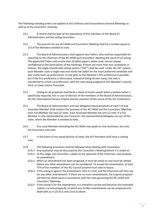The following standing orders are applied at the Ordinary and Extraordinary General Meetings as well as at the Councilors' meeting:

- 23.1 A record shall be kept of the attendance of the members of the Board of Administrators and the voting Councilors.
- 23.2 The quorum for any ACI AGM and Councilors' Meeting shall be a number equal to 2/3 of the Members entitled to vote.
- 23.3 The Board of Administrators shall appoint two Tellers, who shall be responsible for reporting to the Chairman of the ACI AGM and Councillors' Meeting the result of all voting. The appointed Tellers will ensure that all ballot papers, when used, remain always confidential to the participants of the meetings. If there are more than two candidates or choices, the single transferable voting system ("SVT") shall be used. Under the SVT system, each Member casts a single vote and marks her ballot for the most preferred candidate and also marks back-up preferences. A vote goes to the Member's first preference if possible, but if the first preference is eliminated, instead of being thrown away, the vote is transferred to a back-up preference, with the vote being assigned to the Member's second, third, or lower choice if possible.
- 23.4 Voting on all proposals shall be by a show of hands except when a written ballot is specifically required, this in case of election of the members of the Board of Administrators, the ACI International Service Project and the selection of the venue of the ACI Conference.
- 23.5 The Board of Administrators and two delegates/representatives of each Full and Associate Member shall conduct the business of the ACI AGM and the Councilors' Meeting. Each Full Member has two (2) votes. Each Associate Member has one (1) vote. If a Full Member is only represented by one Councilor, the representative/delegate can use all the votes, which the Member is entitled to have.
- 23.6 Any Local Member attending the ACI AGM may speak on any resolution, but only the Councilors may vote.
- 23.7 In the event of any equal division of votes, the ACI President shall have a casting vote.
- 23.8 The following procedure shall be followed when dealing with resolutions:
	- 23.8.1 Any resolution may be discussed by the Councillor's Meeting before it is voted on.
	- 23.8.2 At this stage, any Councillor, subject to the approval of the Chairman, may propose an amendment.
	- 23.8.3 When an amendment has been proposed, it must be voted on and must be settled before any other amendment can be considered. To accept the amendment, at least 75% of the members of the ACI Council present must vote in favour. .
	- 23.8.4 If the voting is against the amendment, then it is lost, and the Chairman will then ask for any other amendments. If there are no more amendments, the original proposal will then be voted upon in accordance with the rules governing the ACI AGM and Councilors' Meetings.
	- 23.8.5 If the voting is for the amendment, it is therefore carried and becomes the amended motion (=a new proposal), to which any further amendments can be proposed and dealt with as in (23.8.2) and (23.8.3) above.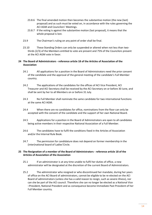- 23.8.6 The final amended motion then becomes the substantive motion (the new (last) proposal) and as such must be voted on, in accordance with the rules governing the ACI AGM and Councilors' Meetings.
- 23.8.7 If the voting is against the substantive motion (last proposal), it means that the whole proposal is lost.
- 23.9 The Chairman's ruling on any point of order shall be final.
- 23.10 These Standing Orders can only be suspended or altered when not less than twothirds (2/3) of the Members entitled to vote are present and 75% of the Councilors present at the ACI AGM vote in favor.

## **24 The Board of Administrators - reference article 18 of the Articles of Association of the Association**

- 24.1 All applications for a position in the Board of Administrators need the prior consent of the candidate and the approval of the general meeting of the candidate's Full Member country.
- 24.2 The applications of the candidates for the offices of ACI Vice President, ACI Treasurer and ACI Secretary shall be received by the ACI Secretary on or before 30 June, and shall be sent by her to all Members on or before 31 July.
- 24.3 No Full Member shall nominate the same candidate for two international functions at the same ACI AGM.
- 24.4 When there are no candidates for office, nominations from the floor can only be accepted with the consent of the candidate and the support of her own National Board.
- 24.5 Applications for a position in the Board of Administrators are open to all candidates being active members in their respective National Association of a Full Member.
- 24.6 The candidates have to fulfil the conditions fixed in the Articles of Association and/or the Internal Rule Book.
- 24.7 The permission for candidature does not depend on former membership in the (inter)national board of Ladies'Circle.

### **25 The Resignation of a member of the Board of Administrators - reference article 18 of the Articles of Association of the Association**

- 25.1 If an administrator is at any time unable to fulfil her duties of office, a new administrator will be designated at the discretion of the current Board of Administrators.
- 25.2 The administrator who resigned or who discontinued her mandate, during her years of office on the ACI Board of administrators, cannot be eligible to be re-elected on the ACI Board of administrators (unless she has a valid reason to resign, such as severe illness), nor can she be part of the ACI council. Therefore she can no longer be elected as a National Vice –President, National President and as consequence become Immediate Past President of her Full Member country.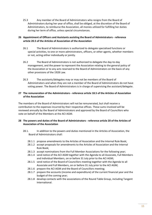25.3 Any member of the Board of Administrators who resigns from the Board of Administrators during her year of office, shall be obliged, at the discretion of the Board of Administrators, to reimburse the Association, all monies utilized for fulfilling her duties during her term of office, unless special circumstances.

## **26 Appointment of Officers and Assistants assisting the Board of Administrators - reference article 20.5 of the Articles of Association of the Association**

- 26.1 The Board of Administrators is authorized to delegate specialised functions or special activities, to one or more administrators, officers, or other agents, whether members or not, acting either individually or jointly.
- 26.2 The Board of Administrators is not authorized to delegate the day-to-day management, and the power to represent the Association relating to the general policy of the Association or to any acts reserved to the Board of Administrators on the basis of any other provisions of the 1928 Law.
- 26.3 The assistants/delegates may or may not be members of the Board of Administrators and when they are not a member of the Board of Administrators do not have voting power. The Board of Administrators is in charge of supervising the assistant/delegate.

## **27 The remuneration of the Administrators - reference article 18.5 of the Articles of Association of the Association**

The members of the Board of Administrators will not be remunerated, but shall receive a contribution to the expenses incurred by their respective offices. These sums involved will be reviewed annually by the Board of Administrators and approved by the Board of Councillors who vote on behalf of the Members at the ACI AGM.

## **28 The powers and duties of the Board of Administrators - reference article 20 of the Articles of Association of the Association**

- 28.1. In addition to the powers and duties mentioned in the Articles of Association, the Board of Administrators shall:
	- 28.1.1 propose amendments to the Articles of Association and the Internal Rule Book;
	- 28.1.2 accept proposals for amendments to the Articles of Association and the Internal Rule Book;
	- 28.1.3 accept nominations from the Full Member Associations for the following year;
	- 28.1.4 send notice of the ACI AGM together with the Agenda to all Associate, Full Members and Individual Members, on or before 31 July prior to the ACI AGM;
	- 28.1.5 send notice of the Board of Councillors meeting together with the Agenda to all Associate and Full Members, on or before 31 July prior to the ACI AGM;
	- 28.1.6 prepare the ACI AGM and the Board of Councillors meeting;
	- 28.1.7 prepare the accounts (income and expenditure) of the current financial year and the budget of the coming year;
	- 28.1.8 develop contacts with the associations of the Round Table Group, including Tangent International.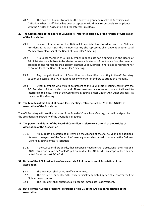28.2 The Board of Administrators has the power to grant and revoke all Certificates of Affiliation, when an affiliation has been accepted or withdrawn respectively in compliance with the Articles of Association and the Internal Rule Book.

## **29 The Composition of the Board of Councillors - reference article 22 of the Articles of Association of the Association**

- 29.1 In case of absence of the National Immediate Past-President and the National President at the ACI AGM, the member country she represents shall appoint another Local Member to replace her at the Board of Councillors' meeting.
- 29.2 If a Local Member of a Full Member is candidate for a function in the Board of Administrators and is likely to be elected as an administrator of the Association, the member association she represents shall appoint another Local Member in her place to represent her as Councillor at the Board of Councillors' meeting.
- 29.3 Any change in the Board of Councillors must be notified in writing to the ACI Secretary as soon as possible. The ACI President can invite other Members to attend this meeting.
- 29.4 Other Members who wish to be present at the Councillors Meeting shall inform the ACI President of their wish to attend. These members are observers, are not allowed to interfere in the discussions of the Councillors' Meeting, unless under "Any Other Business" at the end of the Meeting.

## **30 The Minutes of the Board of Councillors' meeting - reference article 23 of the Articles of Association of the Association**

The ACI Secretary will take the minutes of the Board of Councillors Meeting, that will be signed by the president and secretary of the Councillors Meeting.

## **31 The powers and duties of the Board of Councillors - reference article 24 of the Articles of Association of the Association**

- 31.1. An in-depth discussion of all items on the Agenda of the ACI AGM and all additional items on the Agenda of the Councillors' meeting to avoid endless discussions on the Ordinary General Meeting of the Association.
- 31.2. If the ACI Councillors decide, that a proposal needs further discussion at their National AGM, this proposal can be "tabled" (put on hold) at the ACI AGM. This proposal then can be voted for at the next ACI AGM.

## **32 Duties of the ACI President - reference article 25 of the Articles of Association of the Association**

- 32.1 The President shall serve in office for one year.
- 32.2 The President, or another ACI Officer officially appointed by her, shall charter the first Club in a new country.
- 32.3 The President shall automatically become Immediate Past President.
- **33 Duties of the ACI Vice President - reference article 25 of the Articles of Association of the Association**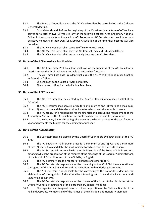- 33.1 The Board of Councillors elects the ACI Vice-President by secret ballot at the Ordinary General Meeting.
- 33.2 Candidates should, before the beginning of the Vice-Presidential term of office, have served for a total of two (2) years in any of the following offices: Area Chairman, National Officer in their own National Association, ACI Treasurer or ACI Secretary. All candidates must be active members of their own Full Member Association at the time they become ACI Vice President.
- 33.3 The ACI Vice President shall serve in office for one (1) year.
- 33.4 The ACI Vice President shall serve as ACI Contact Lady and Extension Officer.
- 33.5 The ACI Vice President shall automatically become the ACI President.

#### **34 Duties of the ACI Immediate Past President**

- 34.1 The ACI Immediate Past President shall take on the functions of the ACI President in interim in case the ACI President is not able to ensure her functions.
- 34.2 The ACI Immediate Past-President shall assist the ACI Vice-President in her function as Extension Officer.
- 34.3 She shall advise the Board of Administrators.
- 34.4 She is liaison officer for the Individual Members.

#### **35 Duties of the ACI Treasurer**

- 35.1 The ACI Treasurer shall be elected by the Board of Councillors by secret ballot at the ACI AGM.
- 35.2 The ACI Treasurer shall serve in office for a minimum of one (1) year and a maximum of two (2) years. As a candidate she shall indicate for which term she intends to serve.
- 35.3 The ACI treasurer is responsible for the financial and accounting management of the Association. She keeps the Association's accounts available to the auditor/accountant.
- 35.4 At the Ordinary General Meeting, she presents the balance sheet for the past financial year and presents the budget for the coming financial year.

#### **36 Duties of the ACI Secretary**

- 36.1 The Secretary shall be elected by the Board of Councillors by secret ballot at the ACI AGM.
- 36.2 The ACI Secretary shall serve in office for a minimum of one (1) year and a maximum of two (2) years. As a candidate she shall indicate for which term she intends to serve.
- 36.3 The ACI Secretary is responsible for the administration of the Board of Administrators, amongst which the preparation of the minutes of the meetings of the Board of Administrators, of the Board of Councillors and of the ACI AGM, in English.
- 36.4 The ACI Secretary keeps a register of all these and other reports.
- 36.5 The ACI Secretary is responsible for the convening of the ACI AGM, the elaboration of the agenda of the ACI AGM and to send the invitations with underlying documents.
- 36.6 The ACI Secretary is responsible for the convening of the Councillors Meeting, the elaboration of the agenda of the Councillors Meeting and to send the invitations with underlying documents.
- 36.7 The ACI Secretary is responsible for the content of the folders to be distributed at the Ordinary General Meeting and at the extraordinary general meetings.
- 36.8 She organizes and keeps all records of the composition of the National Boards of the Full and Associate Members and of the names of the Individual and Honorary Members.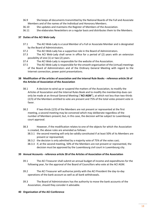- 36.9 She keeps all documents transmitted by the National Boards of the Full and Associate Members and of the names of the Individual and Honorary Members.
- 36.10 She updates and maintains the Register of Members of the Association.
- 36.11 She elaborates Newsletters on a regular basis and distributes them to the Members.

## **37 Duties of the ACI Web-Lady**

- 37.1 The ACI Web-Lady is a Local Member of a Full or Associate Member and is designated by the Board of Administrators.
- 37.2 The ACI Web-Lady has a supportive role in the Board of Administrators.
- 37.3 The ACI Web-Lady shall serve in office for a period of (2) years with an extension possibility of one (1) or two (2) years.
- 37.4 The ACI Web-Lady is responsible for the website of the Association.
- 37.5 The ACI Web-Lady is responsible for the smooth organisation of the (virtual) meetings of the Board of Administrators and of the Ordinary General Meeting with regard to the Internet connection, power point presentations.

## **38 Modification of the articles of association and the Internal Rule Books - reference article 26 of the Articles of Association of the Association**

- 38.1 A decision to wind up or suspend the matters of the Association, to modify the Articles of Association and the Internal Rules Book and to modify the membership dues can only be made at an Annual General Meeting ("**ACI AGM**"), at which not less than two-thirds (2/3) of the Members entitled to vote are present and 75% of the total votes present vote in favor.
- 38.2 If two-thirds (2/3) of the Members are not present or represented at the first meeting, a second meeting may be convened which may deliberate regardless of the number of Members present; but, in this case, the decision will be subject to Luxembourg court approval.
- 38.3 However, if the modification relates to one of the objects for which the Association is created, the above rules are amended as follows:
	- 38.3.1 the second meeting will only be validly constituted if at least 50% of its Members are present or represented;
	- 38.3.2 the decision is only admitted by a majority vote of 75% of the votes cast;
	- 38.3.3 if, at the second meeting, 50% of the Members are not present or represented, the decision must be approved by the Luxembourg civil court in Luxembourg city.

#### **39 Annual Accounts - reference article 28 of the Articles of Association of the Association**

- 39.1 The ACI Treasurer shall submit an annual budget of income and expenditures for the following year, for the approval of the Board of Councillors who vote at the ACI AGM.
- 39.2 The ACI Treasurer will authorise jointly with the ACI President the day-to-day operations of the bank account as well as all bank withdrawals.
- 39.3 The Board of Administrators has the authority to move the bank accounts of the Association, should they consider it advisable.

#### **40 Organisation of the ACI Conference**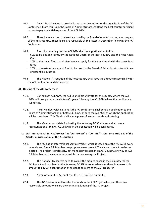- 40.1 An ACI Fund is set up to provide loans to host countries for the organisation of the ACI Conference. From this Fund, the Board of Administrators shall lend the host country sufficient money to pay the initial expenses of the ACI AGM.
- 40.2 These loans are free of interest and paid by the Board of Administrators, upon request of the host country. These loans are repayable at the latest in December following the ACI Conference.
- 40.3 A surplus resulting from an ACI AGM shall be apportioned as follow:
	- 60% to be decided jointly by the National Board of the host country and the host Agora Club.
	- 20% to the travel fund. Local Members can apply for this travel fund with the travel fund form.
	- 20% to the extension support fund to be used by the Board of Administrators to visit new or potential countries.
- 40.4 The National Association of the host country shall have the ultimate responsibility for the ACI Conference and its finances.

## **41 Hosting of the ACI Conference**

- 41.1. During each ACI AGM, the ACI Councillors will vote for the country where the ACI AGM will take place, normally two (2) years following the ACI AGM where the candidacy is submitted.
- 41.2. A Full Member wishing to host the ACI conference, shall send an application to the Board of Administrators on or before 30 June, prior to the ACI AGM at which the application will be considered. This file should include prices of venues, hotels and catering.
- 41.3. The Member candidate for hosting the following ACI Conference shall have a representation at the ACI AGM at which the application will be considered.

## **42 ACI International Service Project (the "ACI Project" or "ACI ISP") - reference article 31 of the Articles of Association of the Association**

- 42.1. The ACI has an International Service Project, which is voted on at the ACI AGM every second year. Every Full Member can propose a new project. The chosen project can be reelected. The project is preferably, not mandatory located in an ACI Country, anyway an ACI Full Member must always be responsible for overseeing the Project.
- 42.2. The National Treasurers need to collect the monies raised in their Country for the ACI Project and pay them to the following ACI ISP Account whenever there is a reasonable amount to pay with confirmation of all donations sent to the ACI Treasurer.
- 42.3. Name Account [•]; Account No.: [•]; P.O. Box [•; Country [•].
- 42.4. The ACI Treasurer will transfer the funds to the ACI Project whenever there is a reasonable amount to ensure the continuing funding of the ACI Project.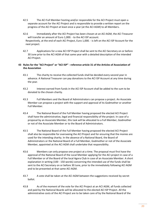- 42.5 The ACI Full Member hosting and/or responsible for the ACI Project must open a separate account for the ACI Project and is responsible to provide a written report on the progress of the ACI Project at least once a year (at the ACI AGM) to all Members.
- 42.6 Immediately after the ACI Project has been chosen at an ACI AGM, the ACI Treasurer will transfer an amount of Euro 1,000. - to the ACI ISP account. Respectively, at the end of each ACI Project, Euro 1,000. - is left on the ACI ISP Account for the next project.
- 42.7 Applications for a new ACI ISP Project shall be sent to the ACI Secretary on or before 30 June prior to the ACI AGM of that same year with a detailed description of the intended ACI Project.

## **43 Rules for the "ACI Project" or "ACI ISP" - reference article 31 of the Articles of Association of the Association**

- 43.1 The charity to receive the collected funds shall be decided every second year in advance. A National Treasurer can pay donations to the ACI ISP Account at any time during the year.
- 43.2 Interest earned from funds in the ACI ISP Account shall be added to the sum to be donated to the chosen charity.
- 43.3 Full Members and the Board of Administrators can propose a project. An Associate Member can propose a project with the support and approval of its Godmother or another Full Member.
- 43.4 The National Board of the Full Member having proposed the elected ACI Project shall have the administrative, legal and financial responsibility of the project. In case of a proposal by an Associate Member, this task will be allocated to a Full Member, Godmother or not of the Associate Member or to the Board of Administrators.
- 43.5 The National Board of the Full Member having proposed the elected ACI Project shall also be responsible for overseeing the ACI Project and for ensuring that the monies are used for the intending charity. In the absence of a National Board, the Board of Administrators or the National Board of a Full Member, Godmother or not of the Associate Member, appointed at the ACI AGM shall undertake that responsibility.
- 43.6 Members can only propose one project at a time. The proposal must first have the approval of the National Board of the Local Member applying for the ACI project in case of a Full Member or of the Board of the local Agora Club in case of an Associate Member. A short explanation in writing (100 - 150 words) concerning the intended use of the funds shall be sent to the ACI Secretary on or before 30 June, prior to the immediately following ACI AGM and to be presented at that same ACI AGM.
- 43.7 A vote shall be taken at the ACI AGM between the suggestions received by secret ballot.
- 43.8 As of the moment of the vote for the ACI Project at an ACI AGM, all funds collected and paid by the National Boards will be allocated to the elected ACI ISP Project. All the administrative costs of the ACI Project are to be taken care of by the National Board of the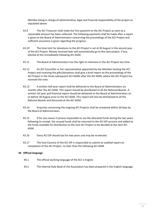Member being in charge of administrative, legal and financial responsibility of the project as stipulated above.

- 43.9 The ACI Treasurer shall make the first payment to the ACI Project as soon as a reasonable amount has been collected. The following payments shall be made after a report is given to the Board of Administrators concerning the proceedings of the ACI Project and sufficient assurance is given regarding the progress.
- 43.10 The time limit for donations to the ACI Project is set at 30 August in the second year of the ACI Project. Money received later will automatically go to the next project, if any, elected at the immediately following ACI AGM.
- 43.11 The Board of Administrators has the right to intervene in the ACI Project any time.
- 43.12 An ACI Councillor or her representative appointed by the Member hosting the ACI Project and receiving the gifts/donations shall give a brief report on the proceedings of the ACI Project in the three subsequent ACI AGMs after the ACI AGM, where the ACI Project has received the vote.
- 43.13 A written half year report shall be delivered to the Board of Administrators six months after the ACI AGM. This report should be distributed to all the National Boards. A written full year and financial report should be delivered to the Board of Administrators on or before 30 August prior to the ACI AGM. This report will also be distributed to all the National Boards and discussed at the ACI AGM.
- 43.14 Enquiries concerning the ongoing ACI Projects shall be answered within 30 days by the Board of Administrators.
- 43.15 If for any reason it proves impossible to use the allocated funds during the two years following its receipt, the unused funds shall be returned to the ACI ISP account and added to the funds available for distribution to the next ACI Project to be decided at the next ACI AGM.
- 43.16 Every ACI ISP should last for two years and may be re-elected.
- 43.17 The host Country of the ACI ISP is responsible to submit an audited report on completion of the ACI Project, no later than the following ACI AGM.

## **44 Official language**

- 44.1 The official working language of the ACI is English.
- 44.2 The Internal Rule Book of the Association has been prepared in the English language.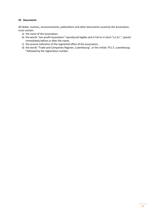## **45 Documents**

All deeds, invoices, announcements, publications and other documents issued by the Association, must contain:

- a) the name of the association;
- b) the words "non-profit association" reproduced legibly and in full or in short "a.s.b.l.", placed immediately before or after the name;
- c) the precise indication of the registered office of the association;
- d) the words "Trade and Companies Register, Luxembourg", or the initials "R.C.S. Luxembourg "followed by the registration number.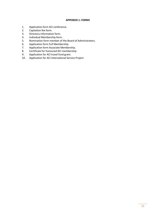#### **APPENDIX 1: FORMS**

- 1. Application form ACI conference.
- 2. Capitation fee form.
- 3. Directory information form.
- 4. Individual Membership form.
- 5. Nomination form member of the Board of Administrators.<br>6. Application form Full Membership.
- 6. Application form Full Membership.
- 7. Application form Associate Membership.
- 8. Certificate for honoured ACI membership.
- 9. Application for ACI travel fund grant.
- 10. Application for ACI International Service Project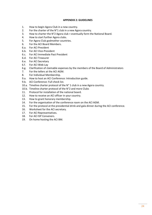#### **APPENDIX 2: GUIDELINES**

- 1. How to begin Agora Club in a new country.
- 2. For the charter of the N°1 club in a new Agora country.
- 3. How to charter the N°2 Agora club + eventually form the National Board.
- 4. How to start further Agora clubs.
- 5. For Agora Club godmother countries.
- 6. For the ACI Board Members.
- 6.a. For ACI President
- 6.b. For ACI Vice-President
- 6.c. For ACI Immediate Past President
- 6.d. For ACI Treasurer
- 6.e. For ACI Secretary
- 6.f. For ACI Web-Lay
- 6.g. Clarification of claimable expenses by the members of the Board of Administrators
- 7. For the tellers at the ACI AGM.
- 8. For Individual Membership.
- 9.a. How to host an ACI Conference: Introduction guide.
- 9.b. ACI Conference: Full check list.
- 10.a. Timeline charter protocol of the N° 1 club in a new Agora country.
- 10.b. Timeline charter protocol of the N°2 and more Clubs
- 11. Protocol for installation of the national board.
- 12. How to receive an ACI officer in your country.
- 13. How to grant honorary membership.
- 14. For the organisation of the conference room on the ACI AGM.
- 15. For the protocol at the presidential drink and gala dinner during the ACI conference.
- 16. Worksheet for the ACI secretary.
- 17. For ACI Representatives.
- 18. For ACI ISP Conveners.
- 19. On home hosting the ACI BM.